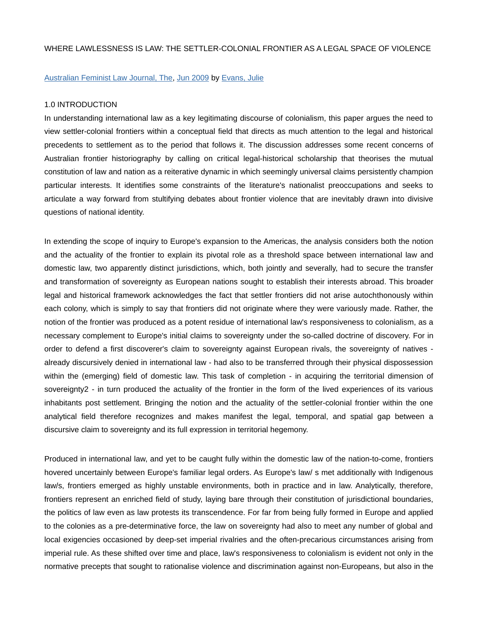## WHERE LAWLESSNESS IS LAW: THE SETTLER-COLONIAL FRONTIER AS A LEGAL SPACE OF VIOLENCE

## Australian Feminist Law Journal, The, Jun 2009 by Evans, Julie

#### 1.0 INTRODUCTION

In understanding international law as a key legitimating discourse of colonialism, this paper argues the need to view settler-colonial frontiers within a conceptual field that directs as much attention to the legal and historical precedents to settlement as to the period that follows it. The discussion addresses some recent concerns of Australian frontier historiography by calling on critical legal-historical scholarship that theorises the mutual constitution of law and nation as a reiterative dynamic in which seemingly universal claims persistently champion particular interests. It identifies some constraints of the literature's nationalist preoccupations and seeks to articulate a way forward from stultifying debates about frontier violence that are inevitably drawn into divisive questions of national identity.

In extending the scope of inquiry to Europe's expansion to the Americas, the analysis considers both the notion and the actuality of the frontier to explain its pivotal role as a threshold space between international law and domestic law, two apparently distinct jurisdictions, which, both jointly and severally, had to secure the transfer and transformation of sovereignty as European nations sought to establish their interests abroad. This broader legal and historical framework acknowledges the fact that settler frontiers did not arise autochthonously within each colony, which is simply to say that frontiers did not originate where they were variously made. Rather, the notion of the frontier was produced as a potent residue of international law's responsiveness to colonialism, as a necessary complement to Europe's initial claims to sovereignty under the so-called doctrine of discovery. For in order to defend a first discoverer's claim to sovereignty against European rivals, the sovereignty of natives already discursively denied in international law - had also to be transferred through their physical dispossession within the (emerging) field of domestic law. This task of completion - in acquiring the territorial dimension of sovereignty2 - in turn produced the actuality of the frontier in the form of the lived experiences of its various inhabitants post settlement. Bringing the notion and the actuality of the settler-colonial frontier within the one analytical field therefore recognizes and makes manifest the legal, temporal, and spatial gap between a discursive claim to sovereignty and its full expression in territorial hegemony.

Produced in international law, and yet to be caught fully within the domestic law of the nation-to-come, frontiers hovered uncertainly between Europe's familiar legal orders. As Europe's law/ s met additionally with Indigenous law/s, frontiers emerged as highly unstable environments, both in practice and in law. Analytically, therefore, frontiers represent an enriched field of study, laying bare through their constitution of jurisdictional boundaries, the politics of law even as law protests its transcendence. For far from being fully formed in Europe and applied to the colonies as a pre-determinative force, the law on sovereignty had also to meet any number of global and local exigencies occasioned by deep-set imperial rivalries and the often-precarious circumstances arising from imperial rule. As these shifted over time and place, law's responsiveness to colonialism is evident not only in the normative precepts that sought to rationalise violence and discrimination against non-Europeans, but also in the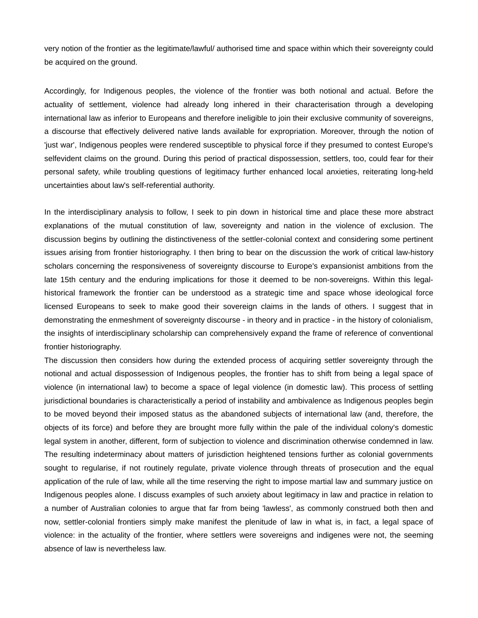very notion of the frontier as the legitimate/lawful/ authorised time and space within which their sovereignty could be acquired on the ground.

Accordingly, for Indigenous peoples, the violence of the frontier was both notional and actual. Before the actuality of settlement, violence had already long inhered in their characterisation through a developing international law as inferior to Europeans and therefore ineligible to join their exclusive community of sovereigns, a discourse that effectively delivered native lands available for expropriation. Moreover, through the notion of 'just war', Indigenous peoples were rendered susceptible to physical force if they presumed to contest Europe's selfevident claims on the ground. During this period of practical dispossession, settlers, too, could fear for their personal safety, while troubling questions of legitimacy further enhanced local anxieties, reiterating long-held uncertainties about law's self-referential authority.

In the interdisciplinary analysis to follow, I seek to pin down in historical time and place these more abstract explanations of the mutual constitution of law, sovereignty and nation in the violence of exclusion. The discussion begins by outlining the distinctiveness of the settler-colonial context and considering some pertinent issues arising from frontier historiography. I then bring to bear on the discussion the work of critical law-history scholars concerning the responsiveness of sovereignty discourse to Europe's expansionist ambitions from the late 15th century and the enduring implications for those it deemed to be non-sovereigns. Within this legalhistorical framework the frontier can be understood as a strategic time and space whose ideological force licensed Europeans to seek to make good their sovereign claims in the lands of others. I suggest that in demonstrating the enmeshment of sovereignty discourse - in theory and in practice - in the history of colonialism, the insights of interdisciplinary scholarship can comprehensively expand the frame of reference of conventional frontier historiography.

The discussion then considers how during the extended process of acquiring settler sovereignty through the notional and actual dispossession of Indigenous peoples, the frontier has to shift from being a legal space of violence (in international law) to become a space of legal violence (in domestic law). This process of settling jurisdictional boundaries is characteristically a period of instability and ambivalence as Indigenous peoples begin to be moved beyond their imposed status as the abandoned subjects of international law (and, therefore, the objects of its force) and before they are brought more fully within the pale of the individual colony's domestic legal system in another, different, form of subjection to violence and discrimination otherwise condemned in law. The resulting indeterminacy about matters of jurisdiction heightened tensions further as colonial governments sought to regularise, if not routinely regulate, private violence through threats of prosecution and the equal application of the rule of law, while all the time reserving the right to impose martial law and summary justice on Indigenous peoples alone. I discuss examples of such anxiety about legitimacy in law and practice in relation to a number of Australian colonies to argue that far from being 'lawless', as commonly construed both then and now, settler-colonial frontiers simply make manifest the plenitude of law in what is, in fact, a legal space of violence: in the actuality of the frontier, where settlers were sovereigns and indigenes were not, the seeming absence of law is nevertheless law.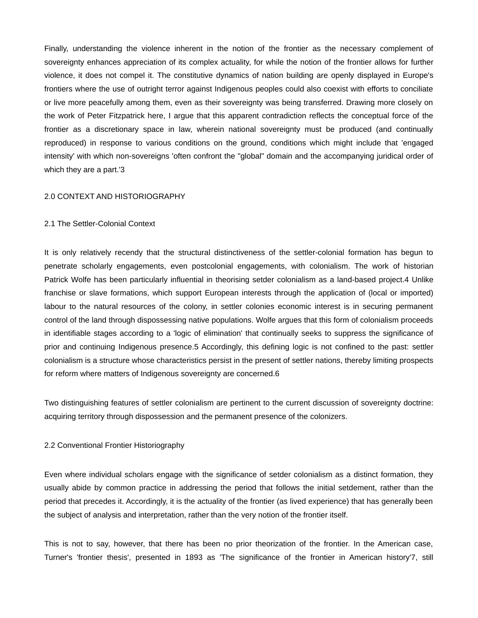Finally, understanding the violence inherent in the notion of the frontier as the necessary complement of sovereignty enhances appreciation of its complex actuality, for while the notion of the frontier allows for further violence, it does not compel it. The constitutive dynamics of nation building are openly displayed in Europe's frontiers where the use of outright terror against Indigenous peoples could also coexist with efforts to conciliate or live more peacefully among them, even as their sovereignty was being transferred. Drawing more closely on the work of Peter Fitzpatrick here, I argue that this apparent contradiction reflects the conceptual force of the frontier as a discretionary space in law, wherein national sovereignty must be produced (and continually reproduced) in response to various conditions on the ground, conditions which might include that 'engaged intensity' with which non-sovereigns 'often confront the "global" domain and the accompanying juridical order of which they are a part.'3

## 2.0 CONTEXT AND HISTORIOGRAPHY

### 2.1 The Settler-Colonial Context

It is only relatively recendy that the structural distinctiveness of the settler-colonial formation has begun to penetrate scholarly engagements, even postcolonial engagements, with colonialism. The work of historian Patrick Wolfe has been particularly influential in theorising setder colonialism as a land-based project.4 Unlike franchise or slave formations, which support European interests through the application of (local or imported) labour to the natural resources of the colony, in settler colonies economic interest is in securing permanent control of the land through dispossessing native populations. Wolfe argues that this form of colonialism proceeds in identifiable stages according to a 'logic of elimination' that continually seeks to suppress the significance of prior and continuing Indigenous presence.5 Accordingly, this defining logic is not confined to the past: settler colonialism is a structure whose characteristics persist in the present of settler nations, thereby limiting prospects for reform where matters of Indigenous sovereignty are concerned.6

Two distinguishing features of settler colonialism are pertinent to the current discussion of sovereignty doctrine: acquiring territory through dispossession and the permanent presence of the colonizers.

### 2.2 Conventional Frontier Historiography

Even where individual scholars engage with the significance of setder colonialism as a distinct formation, they usually abide by common practice in addressing the period that follows the initial setdement, rather than the period that precedes it. Accordingly, it is the actuality of the frontier (as lived experience) that has generally been the subject of analysis and interpretation, rather than the very notion of the frontier itself.

This is not to say, however, that there has been no prior theorization of the frontier. In the American case, Turner's 'frontier thesis', presented in 1893 as 'The significance of the frontier in American history'7, still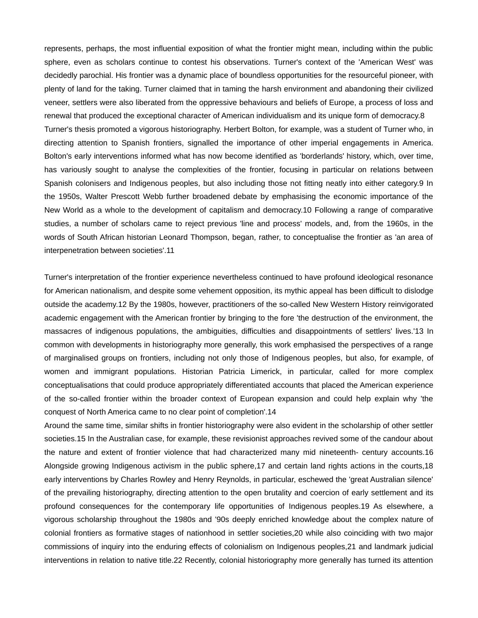represents, perhaps, the most influential exposition of what the frontier might mean, including within the public sphere, even as scholars continue to contest his observations. Turner's context of the 'American West' was decidedly parochial. His frontier was a dynamic place of boundless opportunities for the resourceful pioneer, with plenty of land for the taking. Turner claimed that in taming the harsh environment and abandoning their civilized veneer, settlers were also liberated from the oppressive behaviours and beliefs of Europe, a process of loss and renewal that produced the exceptional character of American individualism and its unique form of democracy.8 Turner's thesis promoted a vigorous historiography. Herbert Bolton, for example, was a student of Turner who, in directing attention to Spanish frontiers, signalled the importance of other imperial engagements in America. Bolton's early interventions informed what has now become identified as 'borderlands' history, which, over time, has variously sought to analyse the complexities of the frontier, focusing in particular on relations between Spanish colonisers and Indigenous peoples, but also including those not fitting neatly into either category.9 In the 1950s, Walter Prescott Webb further broadened debate by emphasising the economic importance of the New World as a whole to the development of capitalism and democracy.10 Following a range of comparative studies, a number of scholars came to reject previous 'line and process' models, and, from the 1960s, in the words of South African historian Leonard Thompson, began, rather, to conceptualise the frontier as 'an area of interpenetration between societies'.11

Turner's interpretation of the frontier experience nevertheless continued to have profound ideological resonance for American nationalism, and despite some vehement opposition, its mythic appeal has been difficult to dislodge outside the academy.12 By the 1980s, however, practitioners of the so-called New Western History reinvigorated academic engagement with the American frontier by bringing to the fore 'the destruction of the environment, the massacres of indigenous populations, the ambiguities, difficulties and disappointments of settlers' lives.'13 In common with developments in historiography more generally, this work emphasised the perspectives of a range of marginalised groups on frontiers, including not only those of Indigenous peoples, but also, for example, of women and immigrant populations. Historian Patricia Limerick, in particular, called for more complex conceptualisations that could produce appropriately differentiated accounts that placed the American experience of the so-called frontier within the broader context of European expansion and could help explain why 'the conquest of North America came to no clear point of completion'.14

Around the same time, similar shifts in frontier historiography were also evident in the scholarship of other settler societies.15 In the Australian case, for example, these revisionist approaches revived some of the candour about the nature and extent of frontier violence that had characterized many mid nineteenth- century accounts.16 Alongside growing Indigenous activism in the public sphere,17 and certain land rights actions in the courts,18 early interventions by Charles Rowley and Henry Reynolds, in particular, eschewed the 'great Australian silence' of the prevailing historiography, directing attention to the open brutality and coercion of early settlement and its profound consequences for the contemporary life opportunities of Indigenous peoples.19 As elsewhere, a vigorous scholarship throughout the 1980s and '90s deeply enriched knowledge about the complex nature of colonial frontiers as formative stages of nationhood in settler societies,20 while also coinciding with two major commissions of inquiry into the enduring effects of colonialism on Indigenous peoples,21 and landmark judicial interventions in relation to native title.22 Recently, colonial historiography more generally has turned its attention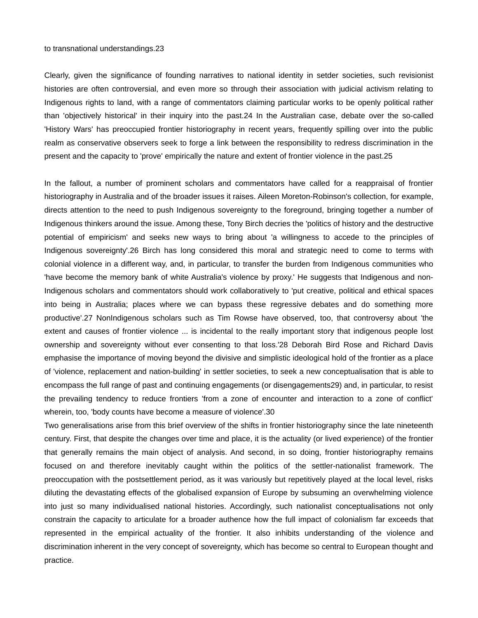#### to transnational understandings.23

Clearly, given the significance of founding narratives to national identity in setder societies, such revisionist histories are often controversial, and even more so through their association with judicial activism relating to Indigenous rights to land, with a range of commentators claiming particular works to be openly political rather than 'objectively historical' in their inquiry into the past.24 In the Australian case, debate over the so-called 'History Wars' has preoccupied frontier historiography in recent years, frequently spilling over into the public realm as conservative observers seek to forge a link between the responsibility to redress discrimination in the present and the capacity to 'prove' empirically the nature and extent of frontier violence in the past.25

In the fallout, a number of prominent scholars and commentators have called for a reappraisal of frontier historiography in Australia and of the broader issues it raises. Aileen Moreton-Robinson's collection, for example, directs attention to the need to push Indigenous sovereignty to the foreground, bringing together a number of Indigenous thinkers around the issue. Among these, Tony Birch decries the 'politics of history and the destructive potential of empiricism' and seeks new ways to bring about 'a willingness to accede to the principles of Indigenous sovereignty'.26 Birch has long considered this moral and strategic need to come to terms with colonial violence in a different way, and, in particular, to transfer the burden from Indigenous communities who 'have become the memory bank of white Australia's violence by proxy.' He suggests that Indigenous and non-Indigenous scholars and commentators should work collaboratively to 'put creative, political and ethical spaces into being in Australia; places where we can bypass these regressive debates and do something more productive'.27 NonIndigenous scholars such as Tim Rowse have observed, too, that controversy about 'the extent and causes of frontier violence ... is incidental to the really important story that indigenous people lost ownership and sovereignty without ever consenting to that loss.'28 Deborah Bird Rose and Richard Davis emphasise the importance of moving beyond the divisive and simplistic ideological hold of the frontier as a place of 'violence, replacement and nation-building' in settler societies, to seek a new conceptualisation that is able to encompass the full range of past and continuing engagements (or disengagements29) and, in particular, to resist the prevailing tendency to reduce frontiers 'from a zone of encounter and interaction to a zone of conflict' wherein, too, 'body counts have become a measure of violence'.30

Two generalisations arise from this brief overview of the shifts in frontier historiography since the late nineteenth century. First, that despite the changes over time and place, it is the actuality (or lived experience) of the frontier that generally remains the main object of analysis. And second, in so doing, frontier historiography remains focused on and therefore inevitably caught within the politics of the settler-nationalist framework. The preoccupation with the postsettlement period, as it was variously but repetitively played at the local level, risks diluting the devastating effects of the globalised expansion of Europe by subsuming an overwhelming violence into just so many individualised national histories. Accordingly, such nationalist conceptualisations not only constrain the capacity to articulate for a broader authence how the full impact of colonialism far exceeds that represented in the empirical actuality of the frontier. It also inhibits understanding of the violence and discrimination inherent in the very concept of sovereignty, which has become so central to European thought and practice.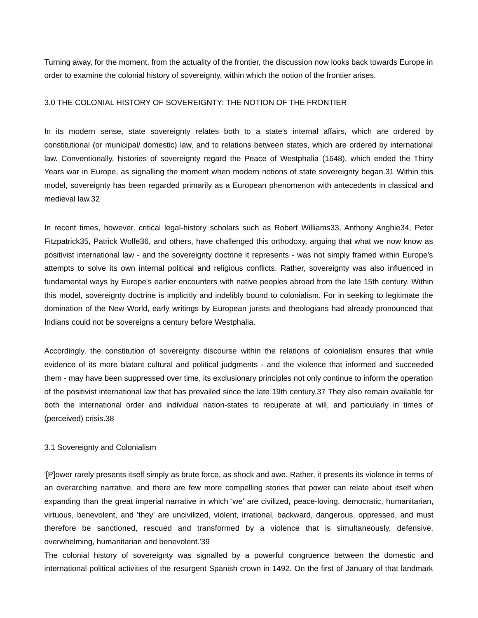Turning away, for the moment, from the actuality of the frontier, the discussion now looks back towards Europe in order to examine the colonial history of sovereignty, within which the notion of the frontier arises.

# 3.0 THE COLONIAL HISTORY OF SOVEREIGNTY: THE NOTION OF THE FRONTIER

In its modern sense, state sovereignty relates both to a state's internal affairs, which are ordered by constitutional (or municipal/ domestic) law, and to relations between states, which are ordered by international law. Conventionally, histories of sovereignty regard the Peace of Westphalia (1648), which ended the Thirty Years war in Europe, as signalling the moment when modern notions of state sovereignty began.31 Within this model, sovereignty has been regarded primarily as a European phenomenon with antecedents in classical and medieval law.32

In recent times, however, critical legal-history scholars such as Robert Williams33, Anthony Anghie34, Peter Fitzpatrick35, Patrick Wolfe36, and others, have challenged this orthodoxy, arguing that what we now know as positivist international law - and the sovereignty doctrine it represents - was not simply framed within Europe's attempts to solve its own internal political and religious conflicts. Rather, sovereignty was also influenced in fundamental ways by Europe's earlier encounters with native peoples abroad from the late 15th century. Within this model, sovereignty doctrine is implicitly and indelibly bound to colonialism. For in seeking to legitimate the domination of the New World, early writings by European jurists and theologians had already pronounced that Indians could not be sovereigns a century before Westphalia.

Accordingly, the constitution of sovereignty discourse within the relations of colonialism ensures that while evidence of its more blatant cultural and political judgments - and the violence that informed and succeeded them - may have been suppressed over time, its exclusionary principles not only continue to inform the operation of the positivist international law that has prevailed since the late 19th century.37 They also remain available for both the international order and individual nation-states to recuperate at will, and particularly in times of (perceived) crisis.38

## 3.1 Sovereignty and Colonialism

'[P]ower rarely presents itself simply as brute force, as shock and awe. Rather, it presents its violence in terms of an overarching narrative, and there are few more compelling stories that power can relate about itself when expanding than the great imperial narrative in which 'we' are civilized, peace-loving, democratic, humanitarian, virtuous, benevolent, and 'they' are uncivilized, violent, irrational, backward, dangerous, oppressed, and must therefore be sanctioned, rescued and transformed by a violence that is simultaneously, defensive, overwhelming, humanitarian and benevolent.'39

The colonial history of sovereignty was signalled by a powerful congruence between the domestic and international political activities of the resurgent Spanish crown in 1492. On the first of January of that landmark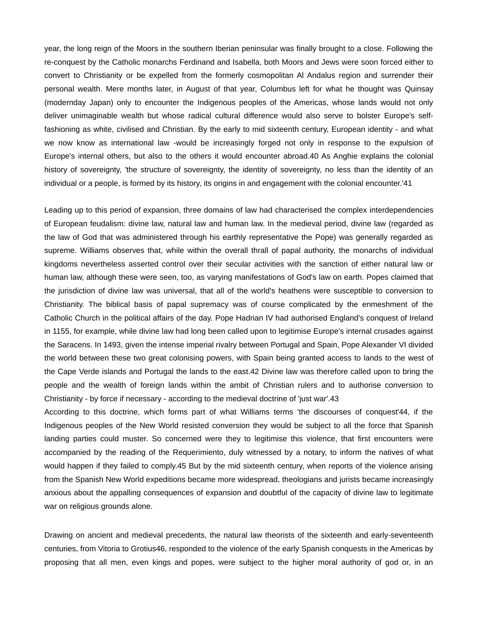year, the long reign of the Moors in the southern Iberian peninsular was finally brought to a close. Following the re-conquest by the Catholic monarchs Ferdinand and Isabella, both Moors and Jews were soon forced either to convert to Christianity or be expelled from the formerly cosmopolitan Al Andalus region and surrender their personal wealth. Mere months later, in August of that year, Columbus left for what he thought was Quinsay (modernday Japan) only to encounter the Indigenous peoples of the Americas, whose lands would not only deliver unimaginable wealth but whose radical cultural difference would also serve to bolster Europe's selffashioning as white, civilised and Christian. By the early to mid sixteenth century, European identity - and what we now know as international law -would be increasingly forged not only in response to the expulsion of Europe's internal others, but also to the others it would encounter abroad.40 As Anghie explains the colonial history of sovereignty, 'the structure of sovereignty, the identity of sovereignty, no less than the identity of an individual or a people, is formed by its history, its origins in and engagement with the colonial encounter.'41

Leading up to this period of expansion, three domains of law had characterised the complex interdependencies of European feudalism: divine law, natural law and human law. In the medieval period, divine law (regarded as the law of God that was administered through his earthly representative the Pope) was generally regarded as supreme. Williams observes that, while within the overall thrall of papal authority, the monarchs of individual kingdoms nevertheless asserted control over their secular activities with the sanction of either natural law or human law, although these were seen, too, as varying manifestations of God's law on earth. Popes claimed that the jurisdiction of divine law was universal, that all of the world's heathens were susceptible to conversion to Christianity. The biblical basis of papal supremacy was of course complicated by the enmeshment of the Catholic Church in the political affairs of the day. Pope Hadrian IV had authorised England's conquest of Ireland in 1155, for example, while divine law had long been called upon to legitimise Europe's internal crusades against the Saracens. In 1493, given the intense imperial rivalry between Portugal and Spain, Pope Alexander VI divided the world between these two great colonising powers, with Spain being granted access to lands to the west of the Cape Verde islands and Portugal the lands to the east.42 Divine law was therefore called upon to bring the people and the wealth of foreign lands within the ambit of Christian rulers and to authorise conversion to Christianity - by force if necessary - according to the medieval doctrine of 'just war'.43

According to this doctrine, which forms part of what Williams terms 'the discourses of conquest'44, if the Indigenous peoples of the New World resisted conversion they would be subject to all the force that Spanish landing parties could muster. So concerned were they to legitimise this violence, that first encounters were accompanied by the reading of the Requerimiento, duly witnessed by a notary, to inform the natives of what would happen if they failed to comply.45 But by the mid sixteenth century, when reports of the violence arising from the Spanish New World expeditions became more widespread, theologians and jurists became increasingly anxious about the appalling consequences of expansion and doubtful of the capacity of divine law to legitimate war on religious grounds alone.

Drawing on ancient and medieval precedents, the natural law theorists of the sixteenth and early-seventeenth centuries, from Vitoria to Grotius46, responded to the violence of the early Spanish conquests in the Americas by proposing that all men, even kings and popes, were subject to the higher moral authority of god or, in an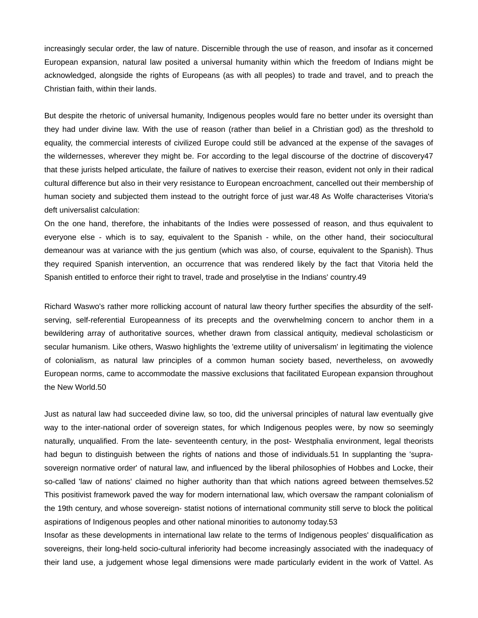increasingly secular order, the law of nature. Discernible through the use of reason, and insofar as it concerned European expansion, natural law posited a universal humanity within which the freedom of Indians might be acknowledged, alongside the rights of Europeans (as with all peoples) to trade and travel, and to preach the Christian faith, within their lands.

But despite the rhetoric of universal humanity, Indigenous peoples would fare no better under its oversight than they had under divine law. With the use of reason (rather than belief in a Christian god) as the threshold to equality, the commercial interests of civilized Europe could still be advanced at the expense of the savages of the wildernesses, wherever they might be. For according to the legal discourse of the doctrine of discovery47 that these jurists helped articulate, the failure of natives to exercise their reason, evident not only in their radical cultural difference but also in their very resistance to European encroachment, cancelled out their membership of human society and subjected them instead to the outright force of just war.48 As Wolfe characterises Vitoria's deft universalist calculation:

On the one hand, therefore, the inhabitants of the Indies were possessed of reason, and thus equivalent to everyone else - which is to say, equivalent to the Spanish - while, on the other hand, their sociocultural demeanour was at variance with the jus gentium (which was also, of course, equivalent to the Spanish). Thus they required Spanish intervention, an occurrence that was rendered likely by the fact that Vitoria held the Spanish entitled to enforce their right to travel, trade and proselytise in the Indians' country.49

Richard Waswo's rather more rollicking account of natural law theory further specifies the absurdity of the selfserving, self-referential Europeanness of its precepts and the overwhelming concern to anchor them in a bewildering array of authoritative sources, whether drawn from classical antiquity, medieval scholasticism or secular humanism. Like others, Waswo highlights the 'extreme utility of universalism' in legitimating the violence of colonialism, as natural law principles of a common human society based, nevertheless, on avowedly European norms, came to accommodate the massive exclusions that facilitated European expansion throughout the New World.50

Just as natural law had succeeded divine law, so too, did the universal principles of natural law eventually give way to the inter-national order of sovereign states, for which Indigenous peoples were, by now so seemingly naturally, unqualified. From the late- seventeenth century, in the post- Westphalia environment, legal theorists had begun to distinguish between the rights of nations and those of individuals.51 In supplanting the 'suprasovereign normative order' of natural law, and influenced by the liberal philosophies of Hobbes and Locke, their so-called 'law of nations' claimed no higher authority than that which nations agreed between themselves.52 This positivist framework paved the way for modern international law, which oversaw the rampant colonialism of the 19th century, and whose sovereign- statist notions of international community still serve to block the political aspirations of Indigenous peoples and other national minorities to autonomy today.53

Insofar as these developments in international law relate to the terms of Indigenous peoples' disqualification as sovereigns, their long-held socio-cultural inferiority had become increasingly associated with the inadequacy of their land use, a judgement whose legal dimensions were made particularly evident in the work of Vattel. As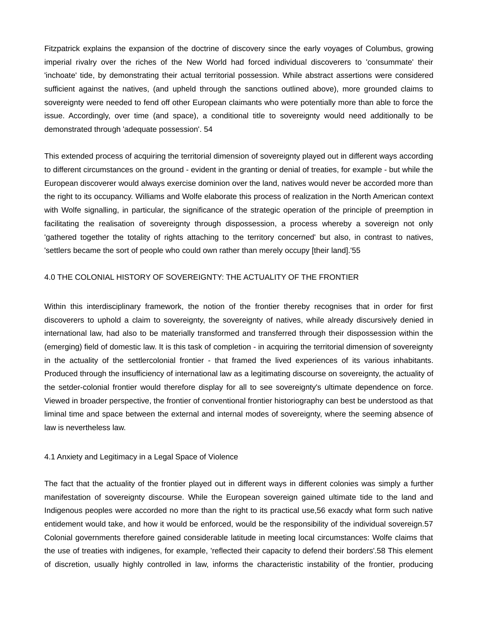Fitzpatrick explains the expansion of the doctrine of discovery since the early voyages of Columbus, growing imperial rivalry over the riches of the New World had forced individual discoverers to 'consummate' their 'inchoate' tide, by demonstrating their actual territorial possession. While abstract assertions were considered sufficient against the natives, (and upheld through the sanctions outlined above), more grounded claims to sovereignty were needed to fend off other European claimants who were potentially more than able to force the issue. Accordingly, over time (and space), a conditional title to sovereignty would need additionally to be demonstrated through 'adequate possession'. 54

This extended process of acquiring the territorial dimension of sovereignty played out in different ways according to different circumstances on the ground - evident in the granting or denial of treaties, for example - but while the European discoverer would always exercise dominion over the land, natives would never be accorded more than the right to its occupancy. Williams and Wolfe elaborate this process of realization in the North American context with Wolfe signalling, in particular, the significance of the strategic operation of the principle of preemption in facilitating the realisation of sovereignty through dispossession, a process whereby a sovereign not only 'gathered together the totality of rights attaching to the territory concerned' but also, in contrast to natives, 'settlers became the sort of people who could own rather than merely occupy [their land].'55

## 4.0 THE COLONIAL HISTORY OF SOVEREIGNTY: THE ACTUALITY OF THE FRONTIER

Within this interdisciplinary framework, the notion of the frontier thereby recognises that in order for first discoverers to uphold a claim to sovereignty, the sovereignty of natives, while already discursively denied in international law, had also to be materially transformed and transferred through their dispossession within the (emerging) field of domestic law. It is this task of completion - in acquiring the territorial dimension of sovereignty in the actuality of the settlercolonial frontier - that framed the lived experiences of its various inhabitants. Produced through the insufficiency of international law as a legitimating discourse on sovereignty, the actuality of the setder-colonial frontier would therefore display for all to see sovereignty's ultimate dependence on force. Viewed in broader perspective, the frontier of conventional frontier historiography can best be understood as that liminal time and space between the external and internal modes of sovereignty, where the seeming absence of law is nevertheless law.

#### 4.1 Anxiety and Legitimacy in a Legal Space of Violence

The fact that the actuality of the frontier played out in different ways in different colonies was simply a further manifestation of sovereignty discourse. While the European sovereign gained ultimate tide to the land and Indigenous peoples were accorded no more than the right to its practical use,56 exacdy what form such native entidement would take, and how it would be enforced, would be the responsibility of the individual sovereign.57 Colonial governments therefore gained considerable latitude in meeting local circumstances: Wolfe claims that the use of treaties with indigenes, for example, 'reflected their capacity to defend their borders'.58 This element of discretion, usually highly controlled in law, informs the characteristic instability of the frontier, producing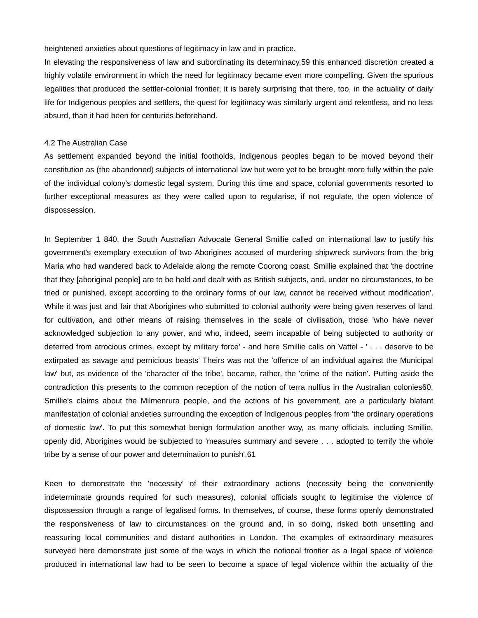heightened anxieties about questions of legitimacy in law and in practice.

In elevating the responsiveness of law and subordinating its determinacy,59 this enhanced discretion created a highly volatile environment in which the need for legitimacy became even more compelling. Given the spurious legalities that produced the settler-colonial frontier, it is barely surprising that there, too, in the actuality of daily life for Indigenous peoples and settlers, the quest for legitimacy was similarly urgent and relentless, and no less absurd, than it had been for centuries beforehand.

#### 4.2 The Australian Case

As settlement expanded beyond the initial footholds, Indigenous peoples began to be moved beyond their constitution as (the abandoned) subjects of international law but were yet to be brought more fully within the pale of the individual colony's domestic legal system. During this time and space, colonial governments resorted to further exceptional measures as they were called upon to regularise, if not regulate, the open violence of dispossession.

In September 1 840, the South Australian Advocate General Smillie called on international law to justify his government's exemplary execution of two Aborigines accused of murdering shipwreck survivors from the brig Maria who had wandered back to Adelaide along the remote Coorong coast. Smillie explained that 'the doctrine that they [aboriginal people] are to be held and dealt with as British subjects, and, under no circumstances, to be tried or punished, except according to the ordinary forms of our law, cannot be received without modification'. While it was just and fair that Aborigines who submitted to colonial authority were being given reserves of land for cultivation, and other means of raising themselves in the scale of civilisation, those 'who have never acknowledged subjection to any power, and who, indeed, seem incapable of being subjected to authority or deterred from atrocious crimes, except by military force' - and here Smillie calls on Vattel - ' . . . deserve to be extirpated as savage and pernicious beasts' Theirs was not the 'offence of an individual against the Municipal law' but, as evidence of the 'character of the tribe', became, rather, the 'crime of the nation'. Putting aside the contradiction this presents to the common reception of the notion of terra nullius in the Australian colonies60, Smillie's claims about the Milmenrura people, and the actions of his government, are a particularly blatant manifestation of colonial anxieties surrounding the exception of Indigenous peoples from 'the ordinary operations of domestic law'. To put this somewhat benign formulation another way, as many officials, including Smillie, openly did, Aborigines would be subjected to 'measures summary and severe . . . adopted to terrify the whole tribe by a sense of our power and determination to punish'.61

Keen to demonstrate the 'necessity' of their extraordinary actions (necessity being the conveniently indeterminate grounds required for such measures), colonial officials sought to legitimise the violence of dispossession through a range of legalised forms. In themselves, of course, these forms openly demonstrated the responsiveness of law to circumstances on the ground and, in so doing, risked both unsettling and reassuring local communities and distant authorities in London. The examples of extraordinary measures surveyed here demonstrate just some of the ways in which the notional frontier as a legal space of violence produced in international law had to be seen to become a space of legal violence within the actuality of the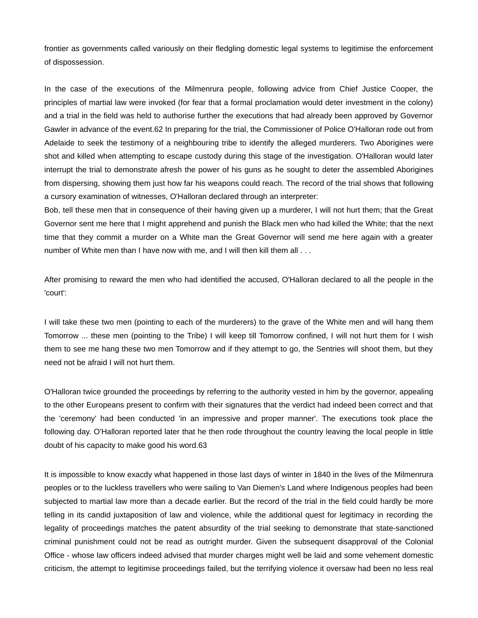frontier as governments called variously on their fledgling domestic legal systems to legitimise the enforcement of dispossession.

In the case of the executions of the Milmenrura people, following advice from Chief Justice Cooper, the principles of martial law were invoked (for fear that a formal proclamation would deter investment in the colony) and a trial in the field was held to authorise further the executions that had already been approved by Governor Gawler in advance of the event.62 In preparing for the trial, the Commissioner of Police O'Halloran rode out from Adelaide to seek the testimony of a neighbouring tribe to identify the alleged murderers. Two Aborigines were shot and killed when attempting to escape custody during this stage of the investigation. O'Halloran would later interrupt the trial to demonstrate afresh the power of his guns as he sought to deter the assembled Aborigines from dispersing, showing them just how far his weapons could reach. The record of the trial shows that following a cursory examination of witnesses, O'Halloran declared through an interpreter:

Bob, tell these men that in consequence of their having given up a murderer, I will not hurt them; that the Great Governor sent me here that I might apprehend and punish the Black men who had killed the White; that the next time that they commit a murder on a White man the Great Governor will send me here again with a greater number of White men than I have now with me, and I will then kill them all . . .

After promising to reward the men who had identified the accused, O'Halloran declared to all the people in the 'court':

I will take these two men (pointing to each of the murderers) to the grave of the White men and will hang them Tomorrow ... these men (pointing to the Tribe) I will keep till Tomorrow confined, I will not hurt them for I wish them to see me hang these two men Tomorrow and if they attempt to go, the Sentries will shoot them, but they need not be afraid I will not hurt them.

O'Halloran twice grounded the proceedings by referring to the authority vested in him by the governor, appealing to the other Europeans present to confirm with their signatures that the verdict had indeed been correct and that the 'ceremony' had been conducted 'in an impressive and proper manner'. The executions took place the following day. O'Halloran reported later that he then rode throughout the country leaving the local people in little doubt of his capacity to make good his word.63

It is impossible to know exacdy what happened in those last days of winter in 1840 in the lives of the Milmenrura peoples or to the luckless travellers who were sailing to Van Diemen's Land where Indigenous peoples had been subjected to martial law more than a decade earlier. But the record of the trial in the field could hardly be more telling in its candid juxtaposition of law and violence, while the additional quest for legitimacy in recording the legality of proceedings matches the patent absurdity of the trial seeking to demonstrate that state-sanctioned criminal punishment could not be read as outright murder. Given the subsequent disapproval of the Colonial Office - whose law officers indeed advised that murder charges might well be laid and some vehement domestic criticism, the attempt to legitimise proceedings failed, but the terrifying violence it oversaw had been no less real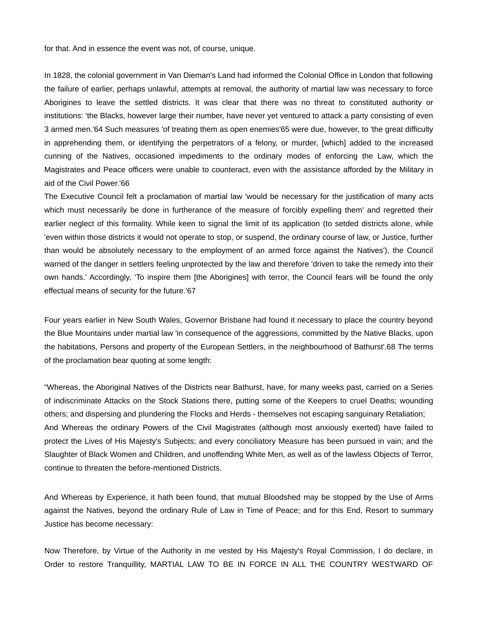for that. And in essence the event was not, of course, unique.

In 1828, the colonial government in Van Dieman's Land had informed the Colonial Office in London that following the failure of earlier, perhaps unlawful, attempts at removal, the authority of martial law was necessary to force Aborigines to leave the settled districts. It was clear that there was no threat to constituted authority or institutions: 'the Blacks, however large their number, have never yet ventured to attack a party consisting of even 3 armed men.'64 Such measures 'of treating them as open enemies'65 were due, however, to 'the great difficulty in apprehending them, or identifying the perpetrators of a felony, or murder, [which] added to the increased cunning of the Natives, occasioned impediments to the ordinary modes of enforcing the Law, which the Magistrates and Peace officers were unable to counteract, even with the assistance afforded by the Military in aid of the Civil Power.'66

The Executive Council felt a proclamation of martial law 'would be necessary for the justification of many acts which must necessarily be done in furtherance of the measure of forcibly expelling them' and regretted their earlier neglect of this formality. While keen to signal the limit of its application (to setded districts alone, while 'even within those districts it would not operate to stop, or suspend, the ordinary course of law, or Justice, further than would be absolutely necessary to the employment of an armed force against the Natives'), the Council warned of the danger in settlers feeling unprotected by the law and therefore 'driven to take the remedy into their own hands.' Accordingly, 'To inspire them [the Aborigines] with terror, the Council fears will be found the only effectual means of security for the future.'67

Four years earlier in New South Wales, Governor Brisbane had found it necessary to place the country beyond the Blue Mountains under martial law 'in consequence of the aggressions, committed by the Native Blacks, upon the habitations, Persons and property of the European Settlers, in the neighbourhood of Bathurst'.68 The terms of the proclamation bear quoting at some length:

"Whereas, the Aboriginal Natives of the Districts near Bathurst, have, for many weeks past, carried on a Series of indiscriminate Attacks on the Stock Stations there, putting some of the Keepers to cruel Deaths; wounding others; and dispersing and plundering the Flocks and Herds - themselves not escaping sanguinary Retaliation; And Whereas the ordinary Powers of the Civil Magistrates (although most anxiously exerted) have failed to protect the Lives of His Majesty's Subjects; and every conciliatory Measure has been pursued in vain; and the Slaughter of Black Women and Children, and unoffending White Men, as well as of the lawless Objects of Terror, continue to threaten the before-mentioned Districts.

And Whereas by Experience, it hath been found, that mutual Bloodshed may be stopped by the Use of Arms against the Natives, beyond the ordinary Rule of Law in Time of Peace; and for this End, Resort to summary Justice has become necessary:

Now Therefore, by Virtue of the Authority in me vested by His Majesty's Royal Commission, I do declare, in Order to restore Tranquillity, MARTIAL LAW TO BE IN FORCE IN ALL THE COUNTRY WESTWARD OF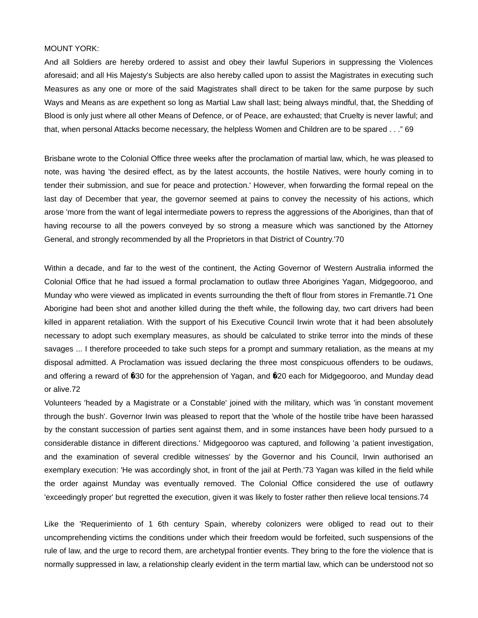### MOUNT YORK:

And all Soldiers are hereby ordered to assist and obey their lawful Superiors in suppressing the Violences aforesaid; and all His Majesty's Subjects are also hereby called upon to assist the Magistrates in executing such Measures as any one or more of the said Magistrates shall direct to be taken for the same purpose by such Ways and Means as are expethent so long as Martial Law shall last; being always mindful, that, the Shedding of Blood is only just where all other Means of Defence, or of Peace, are exhausted; that Cruelty is never lawful; and that, when personal Attacks become necessary, the helpless Women and Children are to be spared . . ." 69

Brisbane wrote to the Colonial Office three weeks after the proclamation of martial law, which, he was pleased to note, was having 'the desired effect, as by the latest accounts, the hostile Natives, were hourly coming in to tender their submission, and sue for peace and protection.' However, when forwarding the formal repeal on the last day of December that year, the governor seemed at pains to convey the necessity of his actions, which arose 'more from the want of legal intermediate powers to repress the aggressions of the Aborigines, than that of having recourse to all the powers conveyed by so strong a measure which was sanctioned by the Attorney General, and strongly recommended by all the Proprietors in that District of Country.'70

Within a decade, and far to the west of the continent, the Acting Governor of Western Australia informed the Colonial Office that he had issued a formal proclamation to outlaw three Aborigines Yagan, Midgegooroo, and Munday who were viewed as implicated in events surrounding the theft of flour from stores in Fremantle.71 One Aborigine had been shot and another killed during the theft while, the following day, two cart drivers had been killed in apparent retaliation. With the support of his Executive Council Irwin wrote that it had been absolutely necessary to adopt such exemplary measures, as should be calculated to strike terror into the minds of these savages ... I therefore proceeded to take such steps for a prompt and summary retaliation, as the means at my disposal admitted. A Proclamation was issued declaring the three most conspicuous offenders to be oudaws, and offering a reward of 030 for the apprehension of Yagan, and 020 each for Midgegooroo, and Munday dead or alive.72

Volunteers 'headed by a Magistrate or a Constable' joined with the military, which was 'in constant movement through the bush'. Governor Irwin was pleased to report that the 'whole of the hostile tribe have been harassed by the constant succession of parties sent against them, and in some instances have been hody pursued to a considerable distance in different directions.' Midgegooroo was captured, and following 'a patient investigation, and the examination of several credible witnesses' by the Governor and his Council, Irwin authorised an exemplary execution: 'He was accordingly shot, in front of the jail at Perth.'73 Yagan was killed in the field while the order against Munday was eventually removed. The Colonial Office considered the use of outlawry 'exceedingly proper' but regretted the execution, given it was likely to foster rather then relieve local tensions.74

Like the 'Requerimiento of 1 6th century Spain, whereby colonizers were obliged to read out to their uncomprehending victims the conditions under which their freedom would be forfeited, such suspensions of the rule of law, and the urge to record them, are archetypal frontier events. They bring to the fore the violence that is normally suppressed in law, a relationship clearly evident in the term martial law, which can be understood not so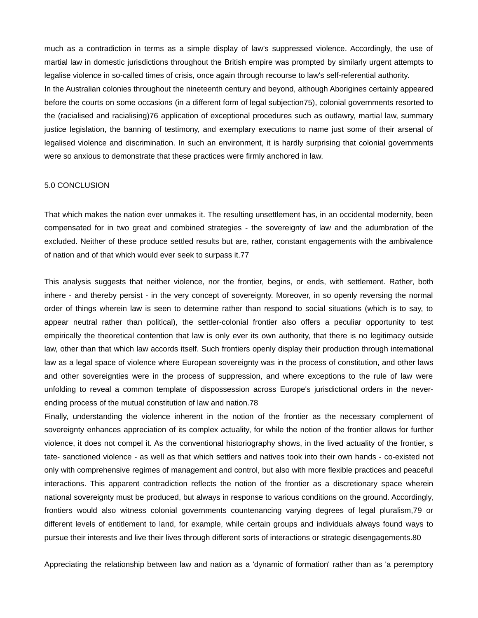much as a contradiction in terms as a simple display of law's suppressed violence. Accordingly, the use of martial law in domestic jurisdictions throughout the British empire was prompted by similarly urgent attempts to legalise violence in so-called times of crisis, once again through recourse to law's self-referential authority. In the Australian colonies throughout the nineteenth century and beyond, although Aborigines certainly appeared before the courts on some occasions (in a different form of legal subjection75), colonial governments resorted to the (racialised and racialising)76 application of exceptional procedures such as outlawry, martial law, summary justice legislation, the banning of testimony, and exemplary executions to name just some of their arsenal of legalised violence and discrimination. In such an environment, it is hardly surprising that colonial governments were so anxious to demonstrate that these practices were firmly anchored in law.

## 5.0 CONCLUSION

That which makes the nation ever unmakes it. The resulting unsettlement has, in an occidental modernity, been compensated for in two great and combined strategies - the sovereignty of law and the adumbration of the excluded. Neither of these produce settled results but are, rather, constant engagements with the ambivalence of nation and of that which would ever seek to surpass it.77

This analysis suggests that neither violence, nor the frontier, begins, or ends, with settlement. Rather, both inhere - and thereby persist - in the very concept of sovereignty. Moreover, in so openly reversing the normal order of things wherein law is seen to determine rather than respond to social situations (which is to say, to appear neutral rather than political), the settler-colonial frontier also offers a peculiar opportunity to test empirically the theoretical contention that law is only ever its own authority, that there is no legitimacy outside law, other than that which law accords itself. Such frontiers openly display their production through international law as a legal space of violence where European sovereignty was in the process of constitution, and other laws and other sovereignties were in the process of suppression, and where exceptions to the rule of law were unfolding to reveal a common template of dispossession across Europe's jurisdictional orders in the neverending process of the mutual constitution of law and nation.78

Finally, understanding the violence inherent in the notion of the frontier as the necessary complement of sovereignty enhances appreciation of its complex actuality, for while the notion of the frontier allows for further violence, it does not compel it. As the conventional historiography shows, in the lived actuality of the frontier, s tate- sanctioned violence - as well as that which settlers and natives took into their own hands - co-existed not only with comprehensive regimes of management and control, but also with more flexible practices and peaceful interactions. This apparent contradiction reflects the notion of the frontier as a discretionary space wherein national sovereignty must be produced, but always in response to various conditions on the ground. Accordingly, frontiers would also witness colonial governments countenancing varying degrees of legal pluralism,79 or different levels of entitlement to land, for example, while certain groups and individuals always found ways to pursue their interests and live their lives through different sorts of interactions or strategic disengagements.80

Appreciating the relationship between law and nation as a 'dynamic of formation' rather than as 'a peremptory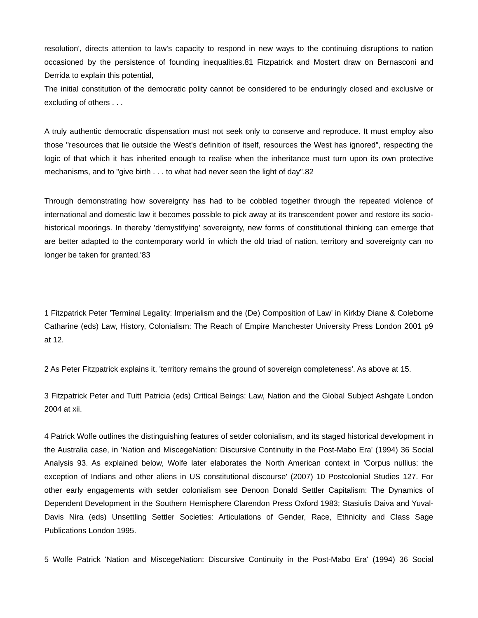resolution', directs attention to law's capacity to respond in new ways to the continuing disruptions to nation occasioned by the persistence of founding inequalities.81 Fitzpatrick and Mostert draw on Bernasconi and Derrida to explain this potential,

The initial constitution of the democratic polity cannot be considered to be enduringly closed and exclusive or excluding of others . . .

A truly authentic democratic dispensation must not seek only to conserve and reproduce. It must employ also those "resources that lie outside the West's definition of itself, resources the West has ignored", respecting the logic of that which it has inherited enough to realise when the inheritance must turn upon its own protective mechanisms, and to "give birth . . . to what had never seen the light of day".82

Through demonstrating how sovereignty has had to be cobbled together through the repeated violence of international and domestic law it becomes possible to pick away at its transcendent power and restore its sociohistorical moorings. In thereby 'demystifying' sovereignty, new forms of constitutional thinking can emerge that are better adapted to the contemporary world 'in which the old triad of nation, territory and sovereignty can no longer be taken for granted.'83

1 Fitzpatrick Peter 'Terminal Legality: Imperialism and the (De) Composition of Law' in Kirkby Diane & Coleborne Catharine (eds) Law, History, Colonialism: The Reach of Empire Manchester University Press London 2001 p9 at 12.

2 As Peter Fitzpatrick explains it, 'territory remains the ground of sovereign completeness'. As above at 15.

3 Fitzpatrick Peter and Tuitt Patricia (eds) Critical Beings: Law, Nation and the Global Subject Ashgate London 2004 at xii.

4 Patrick Wolfe outlines the distinguishing features of setder colonialism, and its staged historical development in the Australia case, in 'Nation and MiscegeNation: Discursive Continuity in the Post-Mabo Era' (1994) 36 Social Analysis 93. As explained below, Wolfe later elaborates the North American context in 'Corpus nullius: the exception of Indians and other aliens in US constitutional discourse' (2007) 10 Postcolonial Studies 127. For other early engagements with setder colonialism see Denoon Donald Settler Capitalism: The Dynamics of Dependent Development in the Southern Hemisphere Clarendon Press Oxford 1983; Stasiulis Daiva and Yuval-Davis Nira (eds) Unsettling Settler Societies: Articulations of Gender, Race, Ethnicity and Class Sage Publications London 1995.

5 Wolfe Patrick 'Nation and MiscegeNation: Discursive Continuity in the Post-Mabo Era' (1994) 36 Social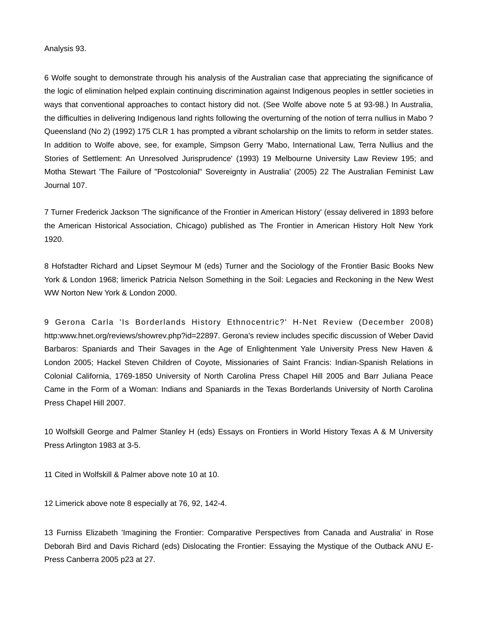### Analysis 93.

6 Wolfe sought to demonstrate through his analysis of the Australian case that appreciating the significance of the logic of elimination helped explain continuing discrimination against Indigenous peoples in settler societies in ways that conventional approaches to contact history did not. (See Wolfe above note 5 at 93-98.) In Australia, the difficulties in delivering Indigenous land rights following the overturning of the notion of terra nullius in Mabo ? Queensland (No 2) (1992) 175 CLR 1 has prompted a vibrant scholarship on the limits to reform in setder states. In addition to Wolfe above, see, for example, Simpson Gerry 'Mabo, International Law, Terra Nullius and the Stories of Settlement: An Unresolved Jurisprudence' (1993) 19 Melbourne University Law Review 195; and Motha Stewart 'The Failure of "Postcolonial" Sovereignty in Australia' (2005) 22 The Australian Feminist Law Journal 107.

7 Turner Frederick Jackson 'The significance of the Frontier in American History' (essay delivered in 1893 before the American Historical Association, Chicago) published as The Frontier in American History Holt New York 1920.

8 Hofstadter Richard and Lipset Seymour M (eds) Turner and the Sociology of the Frontier Basic Books New York & London 1968; limerick Patricia Nelson Something in the Soil: Legacies and Reckoning in the New West WW Norton New York & London 2000.

9 Gerona Carla 'Is Borderlands History Ethnocentric?' H-Net Review (December 2008) http:www.hnet.org/reviews/showrev.php?id=22897. Gerona's review includes specific discussion of Weber David Barbaros: Spaniards and Their Savages in the Age of Enlightenment Yale University Press New Haven & London 2005; Hackel Steven Children of Coyote, Missionaries of Saint Francis: Indian-Spanish Relations in Colonial California, 1769-1850 University of North Carolina Press Chapel Hill 2005 and Barr Juliana Peace Came in the Form of a Woman: Indians and Spaniards in the Texas Borderlands University of North Carolina Press Chapel Hill 2007.

10 Wolfskill George and Palmer Stanley H (eds) Essays on Frontiers in World History Texas A & M University Press Arlington 1983 at 3-5.

11 Cited in Wolfskill & Palmer above note 10 at 10.

12 Limerick above note 8 especially at 76, 92, 142-4.

13 Furniss Elizabeth 'Imagining the Frontier: Comparative Perspectives from Canada and Australia' in Rose Deborah Bird and Davis Richard (eds) Dislocating the Frontier: Essaying the Mystique of the Outback ANU E-Press Canberra 2005 p23 at 27.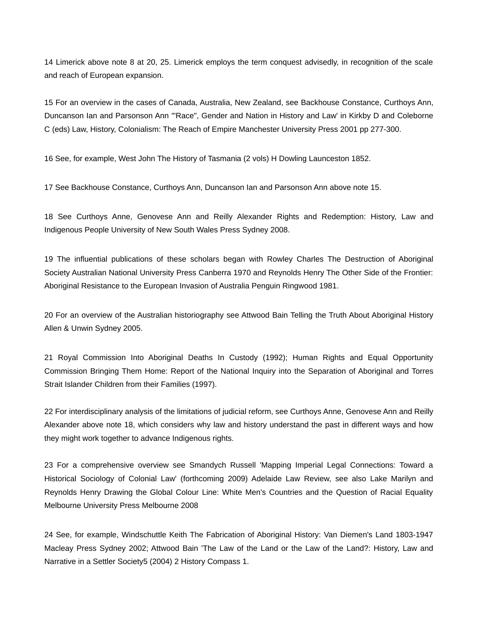14 Limerick above note 8 at 20, 25. Limerick employs the term conquest advisedly, in recognition of the scale and reach of European expansion.

15 For an overview in the cases of Canada, Australia, New Zealand, see Backhouse Constance, Curthoys Ann, Duncanson Ian and Parsonson Ann '"Race", Gender and Nation in History and Law' in Kirkby D and Coleborne C (eds) Law, History, Colonialism: The Reach of Empire Manchester University Press 2001 pp 277-300.

16 See, for example, West John The History of Tasmania (2 vols) H Dowling Launceston 1852.

17 See Backhouse Constance, Curthoys Ann, Duncanson Ian and Parsonson Ann above note 15.

18 See Curthoys Anne, Genovese Ann and Reilly Alexander Rights and Redemption: History, Law and Indigenous People University of New South Wales Press Sydney 2008.

19 The influential publications of these scholars began with Rowley Charles The Destruction of Aboriginal Society Australian National University Press Canberra 1970 and Reynolds Henry The Other Side of the Frontier: Aboriginal Resistance to the European Invasion of Australia Penguin Ringwood 1981.

20 For an overview of the Australian historiography see Attwood Bain Telling the Truth About Aboriginal History Allen & Unwin Sydney 2005.

21 Royal Commission Into Aboriginal Deaths In Custody (1992); Human Rights and Equal Opportunity Commission Bringing Them Home: Report of the National Inquiry into the Separation of Aboriginal and Torres Strait Islander Children from their Families (1997).

22 For interdisciplinary analysis of the limitations of judicial reform, see Curthoys Anne, Genovese Ann and Reilly Alexander above note 18, which considers why law and history understand the past in different ways and how they might work together to advance Indigenous rights.

23 For a comprehensive overview see Smandych Russell 'Mapping Imperial Legal Connections: Toward a Historical Sociology of Colonial Law' (forthcoming 2009) Adelaide Law Review, see also Lake Marilyn and Reynolds Henry Drawing the Global Colour Line: White Men's Countries and the Question of Racial Equality Melbourne University Press Melbourne 2008

24 See, for example, Windschuttle Keith The Fabrication of Aboriginal History: Van Diemen's Land 1803-1947 Macleay Press Sydney 2002; Attwood Bain 'The Law of the Land or the Law of the Land?: History, Law and Narrative in a Settler Society5 (2004) 2 History Compass 1.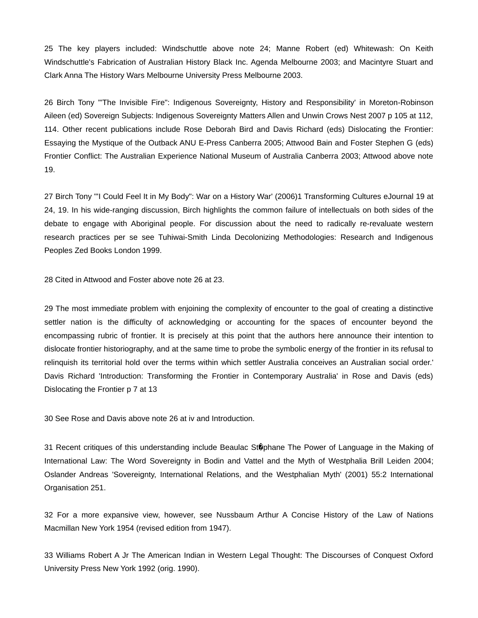25 The key players included: Windschuttle above note 24; Manne Robert (ed) Whitewash: On Keith Windschuttle's Fabrication of Australian History Black Inc. Agenda Melbourne 2003; and Macintyre Stuart and Clark Anna The History Wars Melbourne University Press Melbourne 2003.

26 Birch Tony "'The Invisible Fire": Indigenous Sovereignty, History and Responsibility' in Moreton-Robinson Aileen (ed) Sovereign Subjects: Indigenous Sovereignty Matters Allen and Unwin Crows Nest 2007 p 105 at 112, 114. Other recent publications include Rose Deborah Bird and Davis Richard (eds) Dislocating the Frontier: Essaying the Mystique of the Outback ANU E-Press Canberra 2005; Attwood Bain and Foster Stephen G (eds) Frontier Conflict: The Australian Experience National Museum of Australia Canberra 2003; Attwood above note 19.

27 Birch Tony "'I Could Feel It in My Body": War on a History War' (2006)1 Transforming Cultures eJournal 19 at 24, 19. In his wide-ranging discussion, Birch highlights the common failure of intellectuals on both sides of the debate to engage with Aboriginal people. For discussion about the need to radically re-revaluate western research practices per se see Tuhiwai-Smith Linda Decolonizing Methodologies: Research and Indigenous Peoples Zed Books London 1999.

28 Cited in Attwood and Foster above note 26 at 23.

29 The most immediate problem with enjoining the complexity of encounter to the goal of creating a distinctive settler nation is the difficulty of acknowledging or accounting for the spaces of encounter beyond the encompassing rubric of frontier. It is precisely at this point that the authors here announce their intention to dislocate frontier historiography, and at the same time to probe the symbolic energy of the frontier in its refusal to relinquish its territorial hold over the terms within which settler Australia conceives an Australian social order.' Davis Richard 'Introduction: Transforming the Frontier in Contemporary Australia' in Rose and Davis (eds) Dislocating the Frontier p 7 at 13

30 See Rose and Davis above note 26 at iv and Introduction.

31 Recent critiques of this understanding include Beaulac Stophane The Power of Language in the Making of International Law: The Word Sovereignty in Bodin and Vattel and the Myth of Westphalia Brill Leiden 2004; Oslander Andreas 'Sovereignty, International Relations, and the Westphalian Myth' (2001) 55:2 International Organisation 251.

32 For a more expansive view, however, see Nussbaum Arthur A Concise History of the Law of Nations Macmillan New York 1954 (revised edition from 1947).

33 Williams Robert A Jr The American Indian in Western Legal Thought: The Discourses of Conquest Oxford University Press New York 1992 (orig. 1990).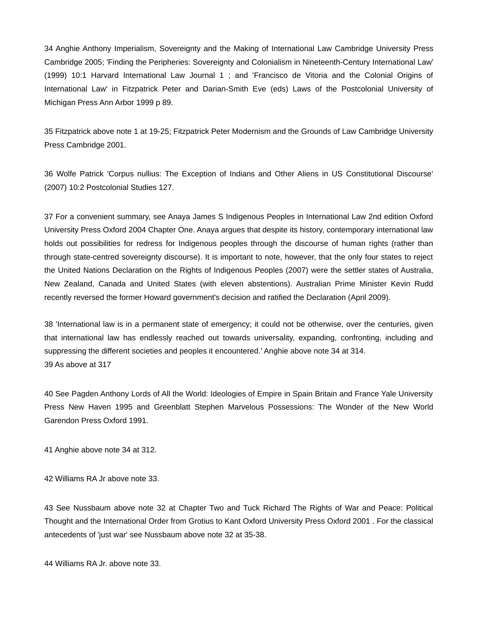34 Anghie Anthony Imperialism, Sovereignty and the Making of International Law Cambridge University Press Cambridge 2005; 'Finding the Peripheries: Sovereignty and Colonialism in Nineteenth-Century International Law' (1999) 10:1 Harvard International Law Journal 1 ; and 'Francisco de Vitoria and the Colonial Origins of International Law' in Fitzpatrick Peter and Darian-Smith Eve (eds) Laws of the Postcolonial University of Michigan Press Ann Arbor 1999 p 89.

35 Fitzpatrick above note 1 at 19-25; Fitzpatrick Peter Modernism and the Grounds of Law Cambridge University Press Cambridge 2001.

36 Wolfe Patrick 'Corpus nullius: The Exception of Indians and Other Aliens in US Constitutional Discourse' (2007) 10:2 Postcolonial Studies 127.

37 For a convenient summary, see Anaya James S Indigenous Peoples in International Law 2nd edition Oxford University Press Oxford 2004 Chapter One. Anaya argues that despite its history, contemporary international law holds out possibilities for redress for Indigenous peoples through the discourse of human rights (rather than through state-centred sovereignty discourse). It is important to note, however, that the only four states to reject the United Nations Declaration on the Rights of Indigenous Peoples (2007) were the settler states of Australia, New Zealand, Canada and United States (with eleven abstentions). Australian Prime Minister Kevin Rudd recently reversed the former Howard government's decision and ratified the Declaration (April 2009).

38 'International law is in a permanent state of emergency; it could not be otherwise, over the centuries, given that international law has endlessly reached out towards universality, expanding, confronting, including and suppressing the different societies and peoples it encountered.' Anghie above note 34 at 314. 39 As above at 317

40 See Pagden Anthony Lords of All the World: Ideologies of Empire in Spain Britain and France Yale University Press New Haven 1995 and Greenblatt Stephen Marvelous Possessions: The Wonder of the New World Garendon Press Oxford 1991.

41 Anghie above note 34 at 312.

42 Williams RA Jr above note 33.

43 See Nussbaum above note 32 at Chapter Two and Tuck Richard The Rights of War and Peace: Political Thought and the International Order from Grotius to Kant Oxford University Press Oxford 2001 . For the classical antecedents of 'just war' see Nussbaum above note 32 at 35-38.

44 Williams RA Jr. above note 33.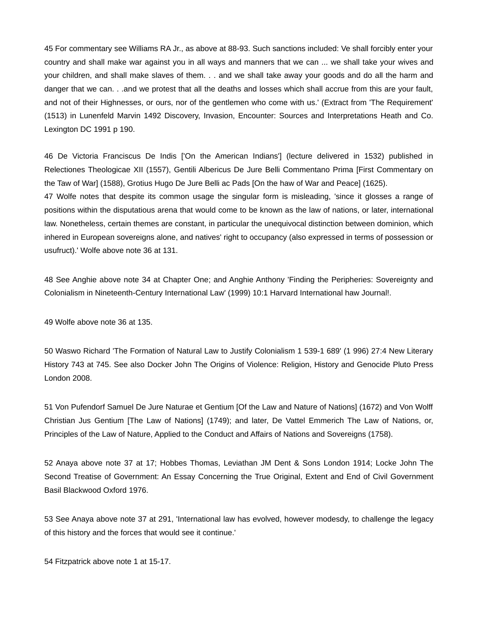45 For commentary see Williams RA Jr., as above at 88-93. Such sanctions included: Ve shall forcibly enter your country and shall make war against you in all ways and manners that we can ... we shall take your wives and your children, and shall make slaves of them. . . and we shall take away your goods and do all the harm and danger that we can. . .and we protest that all the deaths and losses which shall accrue from this are your fault, and not of their Highnesses, or ours, nor of the gentlemen who come with us.' (Extract from 'The Requirement' (1513) in Lunenfeld Marvin 1492 Discovery, Invasion, Encounter: Sources and Interpretations Heath and Co. Lexington DC 1991 p 190.

46 De Victoria Franciscus De Indis ['On the American Indians'] (lecture delivered in 1532) published in Relectiones Theologicae XII (1557), Gentili Albericus De Jure Belli Commentano Prima [First Commentary on the Taw of War] (1588), Grotius Hugo De Jure Belli ac Pads [On the haw of War and Peace] (1625). 47 Wolfe notes that despite its common usage the singular form is misleading, 'since it glosses a range of positions within the disputatious arena that would come to be known as the law of nations, or later, international law. Nonetheless, certain themes are constant, in particular the unequivocal distinction between dominion, which inhered in European sovereigns alone, and natives' right to occupancy (also expressed in terms of possession or usufruct).' Wolfe above note 36 at 131.

48 See Anghie above note 34 at Chapter One; and Anghie Anthony 'Finding the Peripheries: Sovereignty and Colonialism in Nineteenth-Century International Law' (1999) 10:1 Harvard International haw Journal!.

49 Wolfe above note 36 at 135.

50 Waswo Richard 'The Formation of Natural Law to Justify Colonialism 1 539-1 689' (1 996) 27:4 New Literary History 743 at 745. See also Docker John The Origins of Violence: Religion, History and Genocide Pluto Press London 2008.

51 Von Pufendorf Samuel De Jure Naturae et Gentium [Of the Law and Nature of Nations] (1672) and Von Wolff Christian Jus Gentium [The Law of Nations] (1749); and later, De Vattel Emmerich The Law of Nations, or, Principles of the Law of Nature, Applied to the Conduct and Affairs of Nations and Sovereigns (1758).

52 Anaya above note 37 at 17; Hobbes Thomas, Leviathan JM Dent & Sons London 1914; Locke John The Second Treatise of Government: An Essay Concerning the True Original, Extent and End of Civil Government Basil Blackwood Oxford 1976.

53 See Anaya above note 37 at 291, 'International law has evolved, however modesdy, to challenge the legacy of this history and the forces that would see it continue.'

54 Fitzpatrick above note 1 at 15-17.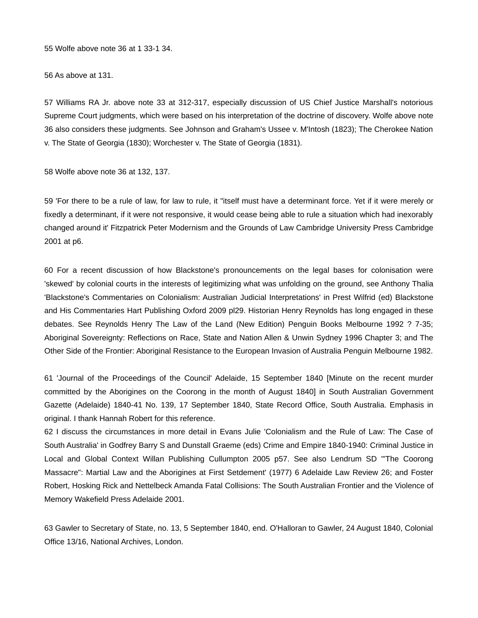55 Wolfe above note 36 at 1 33-1 34.

56 As above at 131.

57 Williams RA Jr. above note 33 at 312-317, especially discussion of US Chief Justice Marshall's notorious Supreme Court judgments, which were based on his interpretation of the doctrine of discovery. Wolfe above note 36 also considers these judgments. See Johnson and Graham's Ussee v. M'Intosh (1823); The Cherokee Nation v. The State of Georgia (1830); Worchester v. The State of Georgia (1831).

58 Wolfe above note 36 at 132, 137.

59 'For there to be a rule of law, for law to rule, it "itself must have a determinant force. Yet if it were merely or fixedly a determinant, if it were not responsive, it would cease being able to rule a situation which had inexorably changed around it' Fitzpatrick Peter Modernism and the Grounds of Law Cambridge University Press Cambridge 2001 at p6.

60 For a recent discussion of how Blackstone's pronouncements on the legal bases for colonisation were 'skewed' by colonial courts in the interests of legitimizing what was unfolding on the ground, see Anthony Thalia 'Blackstone's Commentaries on Colonialism: Australian Judicial Interpretations' in Prest Wilfrid (ed) Blackstone and His Commentaries Hart Publishing Oxford 2009 pl29. Historian Henry Reynolds has long engaged in these debates. See Reynolds Henry The Law of the Land (New Edition) Penguin Books Melbourne 1992 ? 7-35; Aboriginal Sovereignty: Reflections on Race, State and Nation Allen & Unwin Sydney 1996 Chapter 3; and The Other Side of the Frontier: Aboriginal Resistance to the European Invasion of Australia Penguin Melbourne 1982.

61 'Journal of the Proceedings of the Council' Adelaide, 15 September 1840 [Minute on the recent murder committed by the Aborigines on the Coorong in the month of August 1840] in South Australian Government Gazette (Adelaide) 1840-41 No. 139, 17 September 1840, State Record Office, South Australia. Emphasis in original. I thank Hannah Robert for this reference.

62 I discuss the circumstances in more detail in Evans Julie 'Colonialism and the Rule of Law: The Case of South Australia' in Godfrey Barry S and Dunstall Graeme (eds) Crime and Empire 1840-1940: Criminal Justice in Local and Global Context Willan Publishing Cullumpton 2005 p57. See also Lendrum SD '"The Coorong Massacre": Martial Law and the Aborigines at First Setdement' (1977) 6 Adelaide Law Review 26; and Foster Robert, Hosking Rick and Nettelbeck Amanda Fatal Collisions: The South Australian Frontier and the Violence of Memory Wakefield Press Adelaide 2001.

63 Gawler to Secretary of State, no. 13, 5 September 1840, end. O'Halloran to Gawler, 24 August 1840, Colonial Office 13/16, National Archives, London.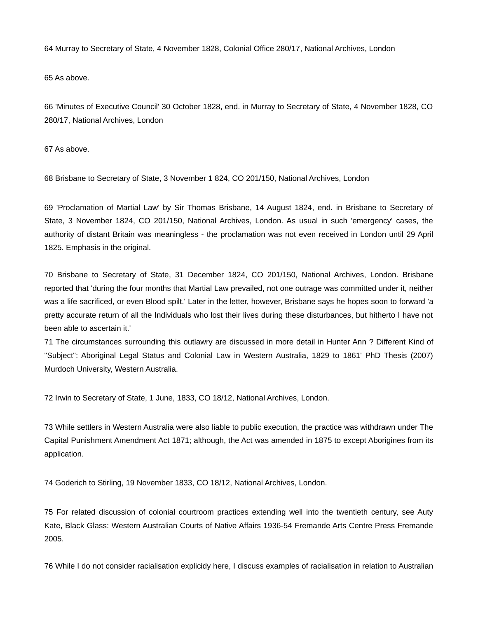64 Murray to Secretary of State, 4 November 1828, Colonial Office 280/17, National Archives, London

65 As above.

66 'Minutes of Executive Council' 30 October 1828, end. in Murray to Secretary of State, 4 November 1828, CO 280/17, National Archives, London

67 As above.

68 Brisbane to Secretary of State, 3 November 1 824, CO 201/150, National Archives, London

69 'Proclamation of Martial Law' by Sir Thomas Brisbane, 14 August 1824, end. in Brisbane to Secretary of State, 3 November 1824, CO 201/150, National Archives, London. As usual in such 'emergency' cases, the authority of distant Britain was meaningless - the proclamation was not even received in London until 29 April 1825. Emphasis in the original.

70 Brisbane to Secretary of State, 31 December 1824, CO 201/150, National Archives, London. Brisbane reported that 'during the four months that Martial Law prevailed, not one outrage was committed under it, neither was a life sacrificed, or even Blood spilt.' Later in the letter, however, Brisbane says he hopes soon to forward 'a pretty accurate return of all the Individuals who lost their lives during these disturbances, but hitherto I have not been able to ascertain it.'

71 The circumstances surrounding this outlawry are discussed in more detail in Hunter Ann ? Different Kind of "Subject": Aboriginal Legal Status and Colonial Law in Western Australia, 1829 to 1861' PhD Thesis (2007) Murdoch University, Western Australia.

72 Irwin to Secretary of State, 1 June, 1833, CO 18/12, National Archives, London.

73 While settlers in Western Australia were also liable to public execution, the practice was withdrawn under The Capital Punishment Amendment Act 1871; although, the Act was amended in 1875 to except Aborigines from its application.

74 Goderich to Stirling, 19 November 1833, CO 18/12, National Archives, London.

75 For related discussion of colonial courtroom practices extending well into the twentieth century, see Auty Kate, Black Glass: Western Australian Courts of Native Affairs 1936-54 Fremande Arts Centre Press Fremande 2005.

76 While I do not consider racialisation explicidy here, I discuss examples of racialisation in relation to Australian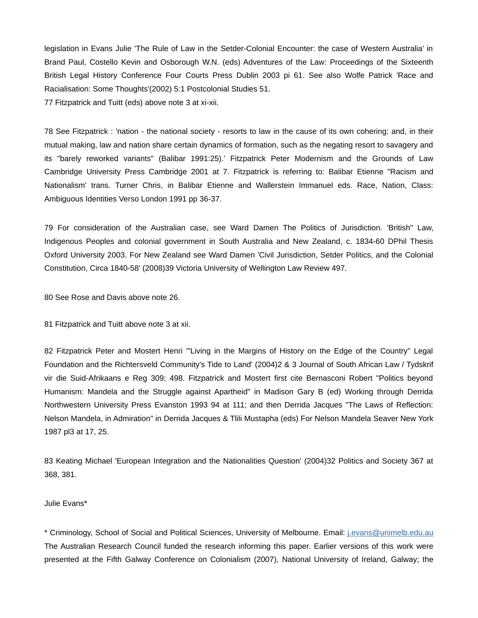legislation in Evans Julie 'The Rule of Law in the Setder-Colonial Encounter: the case of Western Australia' in Brand Paul, Costello Kevin and Osborough W.N. (eds) Adventures of the Law: Proceedings of the Sixteenth British Legal History Conference Four Courts Press Dublin 2003 pi 61. See also Wolfe Patrick 'Race and Racialisation: Some Thoughts'(2002) 5:1 Postcolonial Studies 51. 77 Fitzpatrick and Tuitt (eds) above note 3 at xi-xii.

78 See Fitzpatrick : 'nation - the national society - resorts to law in the cause of its own cohering; and, in their mutual making, law and nation share certain dynamics of formation, such as the negating resort to savagery and its "barely reworked variants" (Balibar 1991:25).' Fitzpatrick Peter Modernism and the Grounds of Law Cambridge University Press Cambridge 2001 at 7. Fitzpatrick is referring to: Balibar Etienne "Racism and Nationalism' trans. Turner Chris, in Balibar Etienne and Wallerstein Immanuel eds. Race, Nation, Class: Ambiguous Identities Verso London 1991 pp 36-37.

79 For consideration of the Australian case, see Ward Damen The Politics of Jurisdiction. 'British" Law, Indigenous Peoples and colonial government in South Australia and New Zealand, c. 1834-60 DPhil Thesis Oxford University 2003. For New Zealand see Ward Damen 'Civil Jurisdiction, Setder Politics, and the Colonial Constitution, Circa 1840-58' (2008)39 Victoria University of Wellington Law Review 497.

80 See Rose and Davis above note 26.

81 Fitzpatrick and Tuitt above note 3 at xii.

82 Fitzpatrick Peter and Mostert Henri '"Living in the Margins of History on the Edge of the Country" Legal Foundation and the Richtersveld Community's Tide to Land' (2004)2 & 3 Journal of South African Law / Tydskrif vir die Suid-Afrikaans e Reg 309; 498. Fitzpatrick and Mostert first cite Bernasconi Robert "Politics beyond Humanism: Mandela and the Struggle against Apartheid" in Madison Gary B (ed) Working through Derrida Northwestern University Press Evanston 1993 94 at 111; and then Derrida Jacques "The Laws of Reflection: Nelson Mandela, in Admiration" in Derrida Jacques & Tlili Mustapha (eds) For Nelson Mandela Seaver New York 1987 pl3 at 17, 25.

83 Keating Michael 'European Integration and the Nationalities Question' (2004)32 Politics and Society 367 at 368, 381.

## Julie Evans\*

\* Criminology, School of Social and Political Sciences, University of Melbourne. Email: j.evans@unimelb.edu.au The Australian Research Council funded the research informing this paper. Earlier versions of this work were presented at the Fifth Galway Conference on Colonialism (2007), National University of Ireland, Galway; the